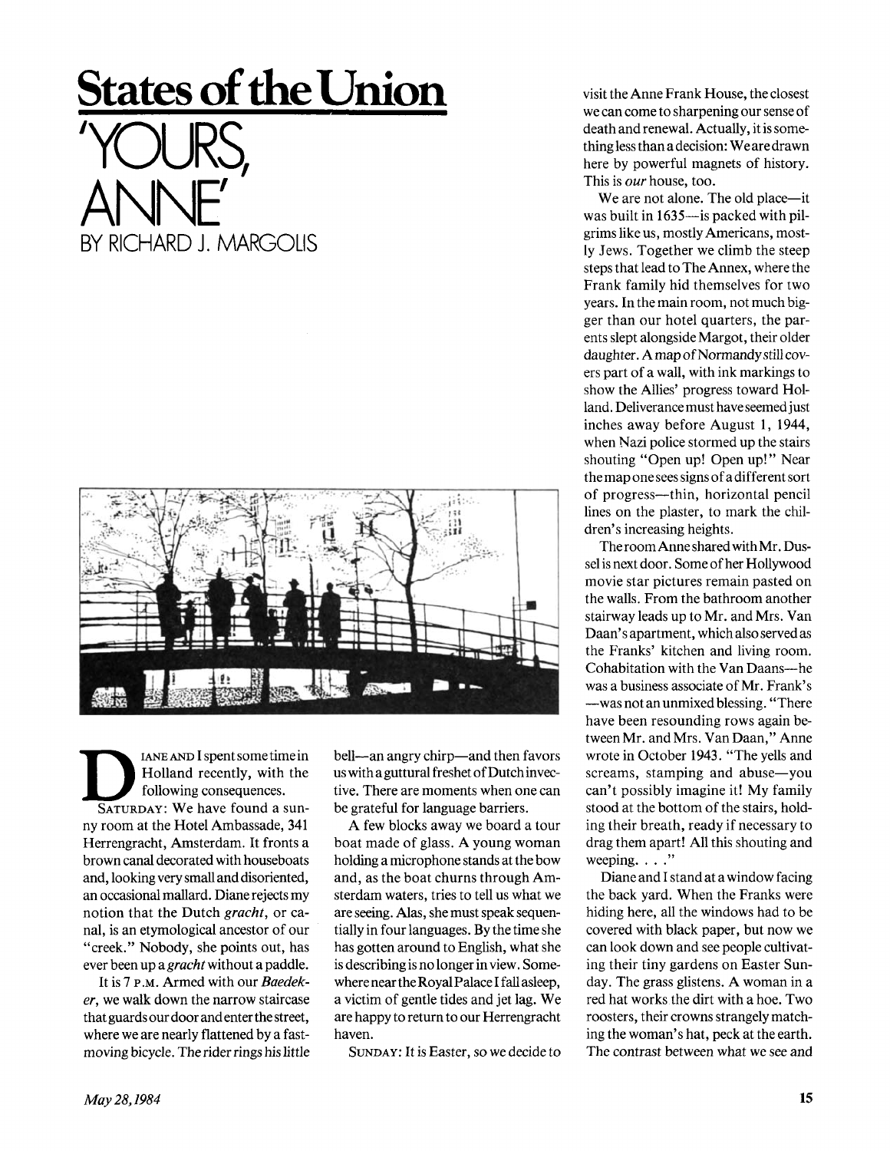## **States of the Union**





I ANE AND I spent some time in<br>
Holland recently, with the<br>
following consequences.<br>
SATURDAY: We have found a sun-IANE AND I spent some time in Holland recently, with the following consequences. ny room at the Hotel Ambassade, 341 Herrengracht, Amsterdam. It fronts a brown canal decorated with houseboats and, looking very small and disoriented, an occasional mallard. Diane rejects my notion that the Dutch *gracht,* or canal, is an etymological ancestor of our "creek." Nobody, she points out, has ever been up a *gracht* without a paddle.

It is 7 P.M. Armed with our *Baedeker,* we walk down the narrow staircase that guards our door and enter the street, where we are nearly flattened by a fastmoving bicycle. The rider rings his little bell—an angry chirp—and then favors us with a guttural freshet of Dutch invective. There are moments when one can be grateful for language barriers.

A few blocks away we board a tour boat made of glass. A young woman holding a microphone stands at the bow and, as the boat churns through Amsterdam waters, tries to tell us what we are seeing. Alas, she must speak sequentially in four languages. By the time she has gotten around to English, what she is describing is no longer in view. Somewhere near the Royal Palace I fall asleep, a victim of gentle tides and jet lag. We are happy to return to our Herrengracht haven.

SUNDAY: It is Easter, so we decide to

visit the Anne Frank House, the closest we can come to sharpening our sense of death and renewal. Actually, it is something less than a decision: We are drawn here by powerful magnets of history. This is *our* house, too.

We are not alone. The old place—it was built in 1635—is packed with pilgrims like us, mostly Americans, mostly Jews. Together we climb the steep steps that lead to The Annex, where the Frank family hid themselves for two years. In the main room, not much bigger than our hotel quarters, the parents slept alongside Margot, their older daughter. A map of Normandy still covers part of a wall, with ink markings to show the Allies' progress toward Holland. Deliverance must have seemedjust inches away before August 1, 1944, when Nazi police stormed up the stairs shouting "Open up! Open up!" Near the map one sees signs of a different sort of progress—thin, horizontal pencil lines on the plaster, to mark the children's increasing heights.

The room Anne shared with Mr. Dussel is next door. Some of her Hollywood movie star pictures remain pasted on the walls. From the bathroom another stairway leads up to Mr. and Mrs. Van Daan's apartment, which also served as the Franks' kitchen and living room. Cohabitation with the Van Daans—he was a business associate of Mr. Frank's —was not an unmixed blessing. "There have been resounding rows again between Mr. and Mrs. Van Daan," Anne wrote in October 1943. "The yells and screams, stamping and abuse—you can't possibly imagine it! My family stood at the bottom of the stairs, holding their breath, ready if necessary to drag them apart! All this shouting and weeping. . . ."

Diane and I stand at a window facing the back yard. When the Franks were hiding here, all the windows had to be covered with black paper, but now we can look down and see people cultivating their tiny gardens on Easter Sunday. The grass glistens. A woman in a red hat works the dirt with a hoe. Two roosters, their crowns strangely matching the woman's hat, peck at the earth. The contrast between what we see and